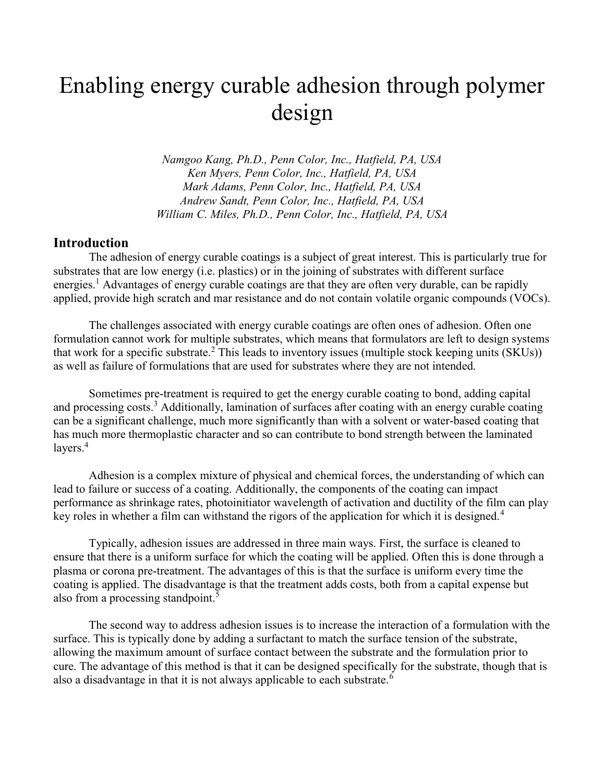# Enabling energy curable adhesion through polymer design

Namgoo Kang, Ph.D., Penn Color, Inc., Hatfield, PA, USA Ken Myers, Penn Color, Inc., Hatfield, PA, USA Mark Adams, Penn Color, Inc., Hatfield, PA, USA Andrew Sandt, Penn Color, Inc., Hatfield, PA, USA William C. Miles, Ph.D., Penn Color, Inc., Hatfield, PA, USA

#### Introduction

 The adhesion of energy curable coatings is a subject of great interest. This is particularly true for substrates that are low energy (i.e. plastics) or in the joining of substrates with different surface energies.<sup>1</sup> Advantages of energy curable coatings are that they are often very durable, can be rapidly applied, provide high scratch and mar resistance and do not contain volatile organic compounds (VOCs).

The challenges associated with energy curable coatings are often ones of adhesion. Often one formulation cannot work for multiple substrates, which means that formulators are left to design systems that work for a specific substrate.<sup>2</sup> This leads to inventory issues (multiple stock keeping units  $(SKUs)$ ) as well as failure of formulations that are used for substrates where they are not intended.

Sometimes pre-treatment is required to get the energy curable coating to bond, adding capital and processing costs.<sup>3</sup> Additionally, lamination of surfaces after coating with an energy curable coating can be a significant challenge, much more significantly than with a solvent or water-based coating that has much more thermoplastic character and so can contribute to bond strength between the laminated layers.<sup>4</sup>

Adhesion is a complex mixture of physical and chemical forces, the understanding of which can lead to failure or success of a coating. Additionally, the components of the coating can impact performance as shrinkage rates, photoinitiator wavelength of activation and ductility of the film can play key roles in whether a film can withstand the rigors of the application for which it is designed.<sup>4</sup>

Typically, adhesion issues are addressed in three main ways. First, the surface is cleaned to ensure that there is a uniform surface for which the coating will be applied. Often this is done through a plasma or corona pre-treatment. The advantages of this is that the surface is uniform every time the coating is applied. The disadvantage is that the treatment adds costs, both from a capital expense but also from a processing standpoint.<sup>5</sup>

The second way to address adhesion issues is to increase the interaction of a formulation with the surface. This is typically done by adding a surfactant to match the surface tension of the substrate, allowing the maximum amount of surface contact between the substrate and the formulation prior to cure. The advantage of this method is that it can be designed specifically for the substrate, though that is also a disadvantage in that it is not always applicable to each substrate.<sup>6</sup>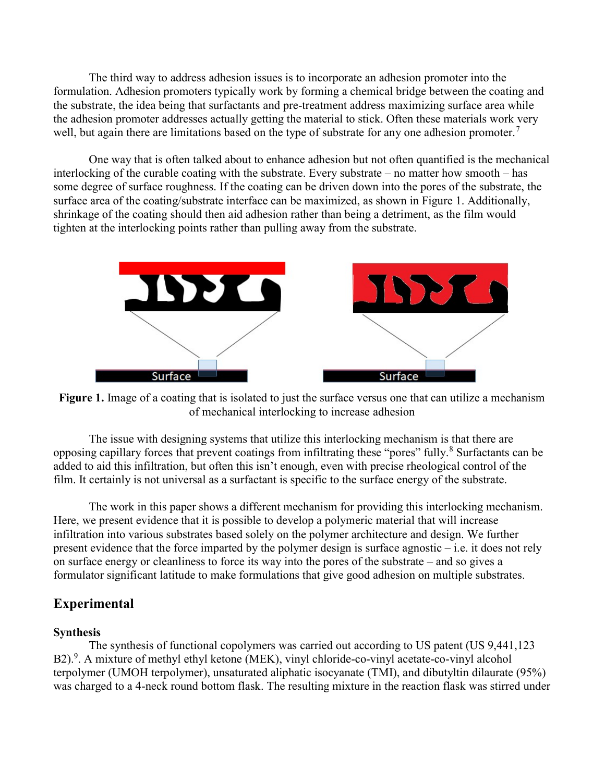The third way to address adhesion issues is to incorporate an adhesion promoter into the formulation. Adhesion promoters typically work by forming a chemical bridge between the coating and the substrate, the idea being that surfactants and pre-treatment address maximizing surface area while the adhesion promoter addresses actually getting the material to stick. Often these materials work very well, but again there are limitations based on the type of substrate for any one adhesion promoter.<sup>7</sup>

One way that is often talked about to enhance adhesion but not often quantified is the mechanical interlocking of the curable coating with the substrate. Every substrate – no matter how smooth – has some degree of surface roughness. If the coating can be driven down into the pores of the substrate, the surface area of the coating/substrate interface can be maximized, as shown in Figure 1. Additionally, shrinkage of the coating should then aid adhesion rather than being a detriment, as the film would tighten at the interlocking points rather than pulling away from the substrate.



Figure 1. Image of a coating that is isolated to just the surface versus one that can utilize a mechanism of mechanical interlocking to increase adhesion

 The issue with designing systems that utilize this interlocking mechanism is that there are opposing capillary forces that prevent coatings from infiltrating these "pores" fully.<sup>8</sup> Surfactants can be added to aid this infiltration, but often this isn't enough, even with precise rheological control of the film. It certainly is not universal as a surfactant is specific to the surface energy of the substrate.

The work in this paper shows a different mechanism for providing this interlocking mechanism. Here, we present evidence that it is possible to develop a polymeric material that will increase infiltration into various substrates based solely on the polymer architecture and design. We further present evidence that the force imparted by the polymer design is surface agnostic – i.e. it does not rely on surface energy or cleanliness to force its way into the pores of the substrate – and so gives a formulator significant latitude to make formulations that give good adhesion on multiple substrates.

# Experimental

#### Synthesis

The synthesis of functional copolymers was carried out according to US patent (US 9,441,123 B2).<sup>9</sup>. A mixture of methyl ethyl ketone (MEK), vinyl chloride-co-vinyl acetate-co-vinyl alcohol terpolymer (UMOH terpolymer), unsaturated aliphatic isocyanate (TMI), and dibutyltin dilaurate (95%) was charged to a 4-neck round bottom flask. The resulting mixture in the reaction flask was stirred under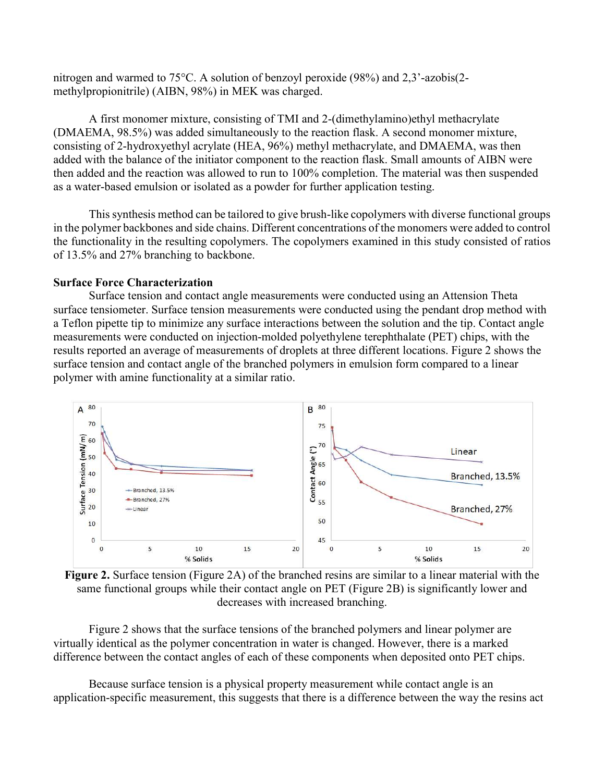nitrogen and warmed to 75°C. A solution of benzoyl peroxide (98%) and 2,3'-azobis(2 methylpropionitrile) (AIBN, 98%) in MEK was charged.

A first monomer mixture, consisting of TMI and 2-(dimethylamino)ethyl methacrylate (DMAEMA, 98.5%) was added simultaneously to the reaction flask. A second monomer mixture, consisting of 2-hydroxyethyl acrylate (HEA, 96%) methyl methacrylate, and DMAEMA, was then added with the balance of the initiator component to the reaction flask. Small amounts of AIBN were then added and the reaction was allowed to run to 100% completion. The material was then suspended as a water-based emulsion or isolated as a powder for further application testing.

This synthesis method can be tailored to give brush-like copolymers with diverse functional groups in the polymer backbones and side chains. Different concentrations of the monomers were added to control the functionality in the resulting copolymers. The copolymers examined in this study consisted of ratios of 13.5% and 27% branching to backbone.

#### Surface Force Characterization

Surface tension and contact angle measurements were conducted using an Attension Theta surface tensiometer. Surface tension measurements were conducted using the pendant drop method with a Teflon pipette tip to minimize any surface interactions between the solution and the tip. Contact angle measurements were conducted on injection-molded polyethylene terephthalate (PET) chips, with the results reported an average of measurements of droplets at three different locations. Figure 2 shows the surface tension and contact angle of the branched polymers in emulsion form compared to a linear polymer with amine functionality at a similar ratio.



Figure 2. Surface tension (Figure 2A) of the branched resins are similar to a linear material with the same functional groups while their contact angle on PET (Figure 2B) is significantly lower and decreases with increased branching.

Figure 2 shows that the surface tensions of the branched polymers and linear polymer are virtually identical as the polymer concentration in water is changed. However, there is a marked difference between the contact angles of each of these components when deposited onto PET chips.

Because surface tension is a physical property measurement while contact angle is an application-specific measurement, this suggests that there is a difference between the way the resins act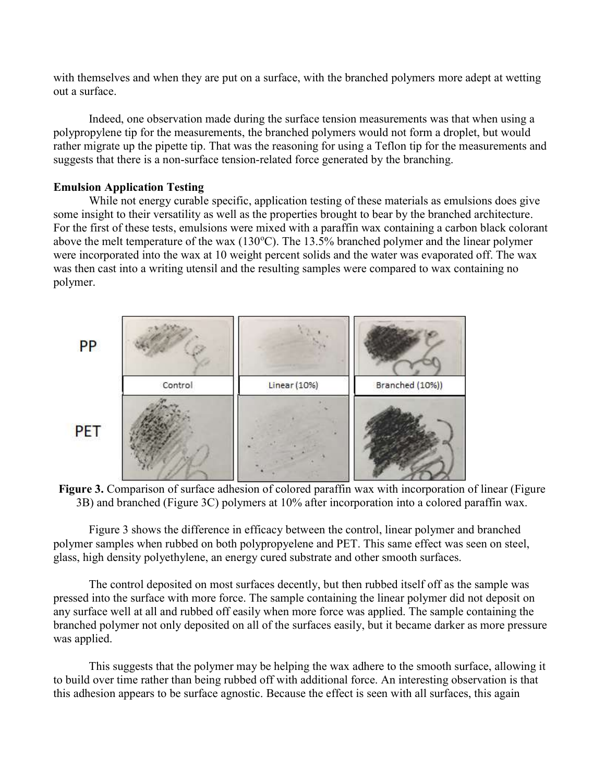with themselves and when they are put on a surface, with the branched polymers more adept at wetting out a surface.

Indeed, one observation made during the surface tension measurements was that when using a polypropylene tip for the measurements, the branched polymers would not form a droplet, but would rather migrate up the pipette tip. That was the reasoning for using a Teflon tip for the measurements and suggests that there is a non-surface tension-related force generated by the branching.

#### Emulsion Application Testing

 While not energy curable specific, application testing of these materials as emulsions does give some insight to their versatility as well as the properties brought to bear by the branched architecture. For the first of these tests, emulsions were mixed with a paraffin wax containing a carbon black colorant above the melt temperature of the wax  $(130^{\circ}C)$ . The 13.5% branched polymer and the linear polymer were incorporated into the wax at 10 weight percent solids and the water was evaporated off. The wax was then cast into a writing utensil and the resulting samples were compared to wax containing no polymer.





Figure 3 shows the difference in efficacy between the control, linear polymer and branched polymer samples when rubbed on both polypropyelene and PET. This same effect was seen on steel, glass, high density polyethylene, an energy cured substrate and other smooth surfaces.

The control deposited on most surfaces decently, but then rubbed itself off as the sample was pressed into the surface with more force. The sample containing the linear polymer did not deposit on any surface well at all and rubbed off easily when more force was applied. The sample containing the branched polymer not only deposited on all of the surfaces easily, but it became darker as more pressure was applied.

This suggests that the polymer may be helping the wax adhere to the smooth surface, allowing it to build over time rather than being rubbed off with additional force. An interesting observation is that this adhesion appears to be surface agnostic. Because the effect is seen with all surfaces, this again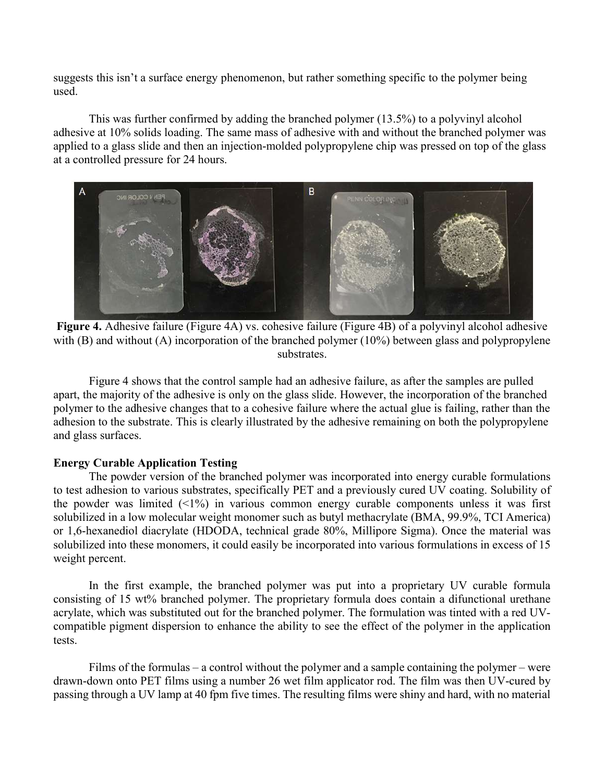suggests this isn't a surface energy phenomenon, but rather something specific to the polymer being used.

This was further confirmed by adding the branched polymer (13.5%) to a polyvinyl alcohol adhesive at 10% solids loading. The same mass of adhesive with and without the branched polymer was applied to a glass slide and then an injection-molded polypropylene chip was pressed on top of the glass at a controlled pressure for 24 hours.



Figure 4. Adhesive failure (Figure 4A) vs. cohesive failure (Figure 4B) of a polyvinyl alcohol adhesive with (B) and without (A) incorporation of the branched polymer (10%) between glass and polypropylene substrates.

 Figure 4 shows that the control sample had an adhesive failure, as after the samples are pulled apart, the majority of the adhesive is only on the glass slide. However, the incorporation of the branched polymer to the adhesive changes that to a cohesive failure where the actual glue is failing, rather than the adhesion to the substrate. This is clearly illustrated by the adhesive remaining on both the polypropylene and glass surfaces.

#### Energy Curable Application Testing

The powder version of the branched polymer was incorporated into energy curable formulations to test adhesion to various substrates, specifically PET and a previously cured UV coating. Solubility of the powder was limited  $(1\%)$  in various common energy curable components unless it was first solubilized in a low molecular weight monomer such as butyl methacrylate (BMA, 99.9%, TCI America) or 1,6-hexanediol diacrylate (HDODA, technical grade 80%, Millipore Sigma). Once the material was solubilized into these monomers, it could easily be incorporated into various formulations in excess of 15 weight percent.

In the first example, the branched polymer was put into a proprietary UV curable formula consisting of 15 wt% branched polymer. The proprietary formula does contain a difunctional urethane acrylate, which was substituted out for the branched polymer. The formulation was tinted with a red UVcompatible pigment dispersion to enhance the ability to see the effect of the polymer in the application tests.

Films of the formulas – a control without the polymer and a sample containing the polymer – were drawn-down onto PET films using a number 26 wet film applicator rod. The film was then UV-cured by passing through a UV lamp at 40 fpm five times. The resulting films were shiny and hard, with no material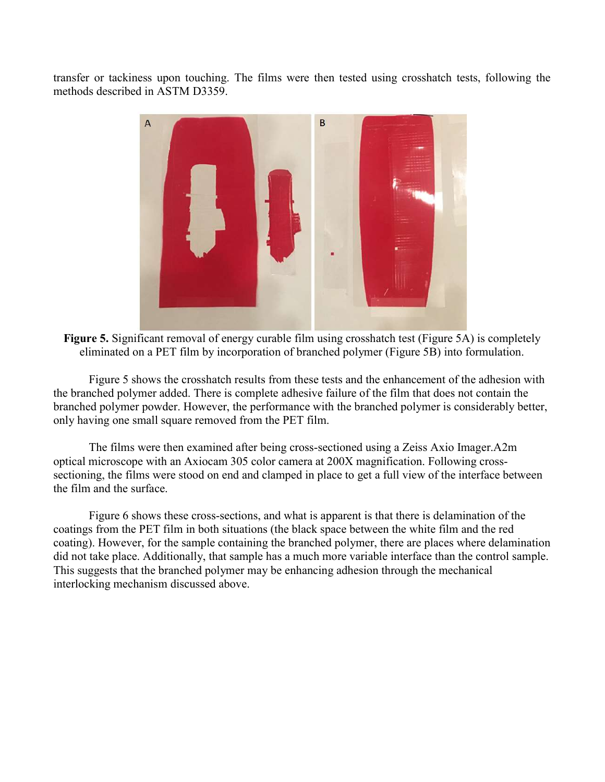transfer or tackiness upon touching. The films were then tested using crosshatch tests, following the methods described in ASTM D3359.



Figure 5. Significant removal of energy curable film using crosshatch test (Figure 5A) is completely eliminated on a PET film by incorporation of branched polymer (Figure 5B) into formulation.

Figure 5 shows the crosshatch results from these tests and the enhancement of the adhesion with the branched polymer added. There is complete adhesive failure of the film that does not contain the branched polymer powder. However, the performance with the branched polymer is considerably better, only having one small square removed from the PET film.

The films were then examined after being cross-sectioned using a Zeiss Axio Imager.A2m optical microscope with an Axiocam 305 color camera at 200X magnification. Following crosssectioning, the films were stood on end and clamped in place to get a full view of the interface between the film and the surface.

Figure 6 shows these cross-sections, and what is apparent is that there is delamination of the coatings from the PET film in both situations (the black space between the white film and the red coating). However, for the sample containing the branched polymer, there are places where delamination did not take place. Additionally, that sample has a much more variable interface than the control sample. This suggests that the branched polymer may be enhancing adhesion through the mechanical interlocking mechanism discussed above.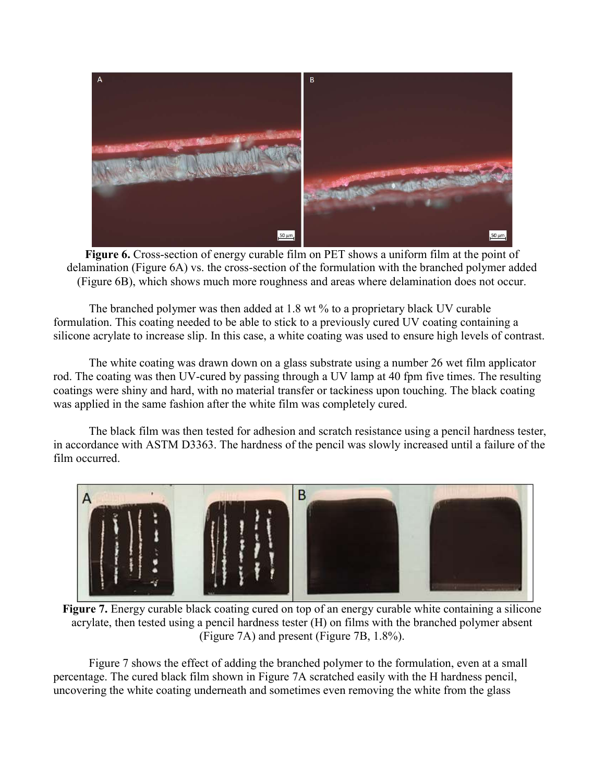

Figure 6. Cross-section of energy curable film on PET shows a uniform film at the point of delamination (Figure 6A) vs. the cross-section of the formulation with the branched polymer added (Figure 6B), which shows much more roughness and areas where delamination does not occur.

The branched polymer was then added at 1.8 wt % to a proprietary black UV curable formulation. This coating needed to be able to stick to a previously cured UV coating containing a silicone acrylate to increase slip. In this case, a white coating was used to ensure high levels of contrast.

The white coating was drawn down on a glass substrate using a number 26 wet film applicator rod. The coating was then UV-cured by passing through a UV lamp at 40 fpm five times. The resulting coatings were shiny and hard, with no material transfer or tackiness upon touching. The black coating was applied in the same fashion after the white film was completely cured.

The black film was then tested for adhesion and scratch resistance using a pencil hardness tester, in accordance with ASTM D3363. The hardness of the pencil was slowly increased until a failure of the film occurred.



Figure 7. Energy curable black coating cured on top of an energy curable white containing a silicone acrylate, then tested using a pencil hardness tester (H) on films with the branched polymer absent (Figure 7A) and present (Figure 7B, 1.8%).

Figure 7 shows the effect of adding the branched polymer to the formulation, even at a small percentage. The cured black film shown in Figure 7A scratched easily with the H hardness pencil, uncovering the white coating underneath and sometimes even removing the white from the glass